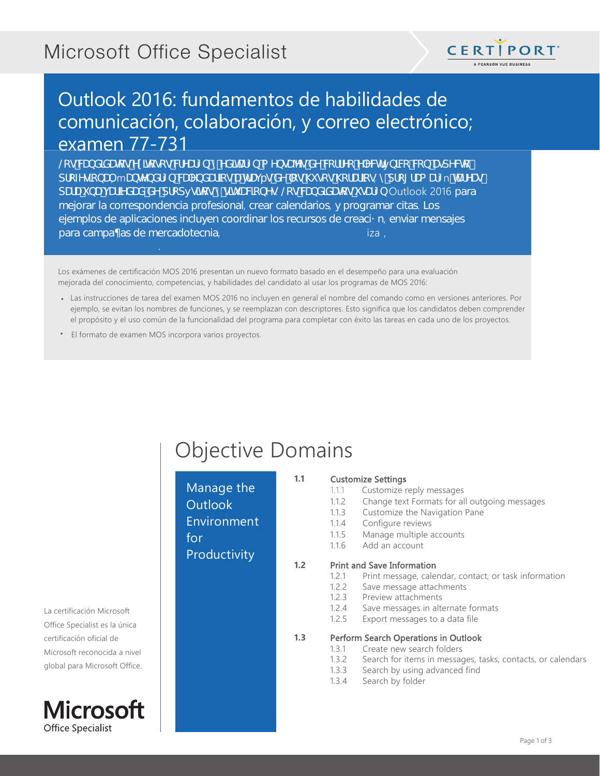

## Outlook 2016: fundamentos de habilidades de comunicación, colaboración, y correo electrónico; examen 77-731

@gWbX]XUhcg'YI ]hcqcg'VfYUfzbimYX]hUfzbia YbqUYgiXY'V&ffYc'Y'YVtfCEb]W&'V&biUqdYVthci dfcZYqlcbU, mUbhYbXfzbWUYbXUflcgUirfUj fgiXYicgi\i qcgi\cfUflcq mdfcl fUa UfzniHJfYUgi dUfU'i bU'j Uf]YXUX XY dfcdGg|lcgmg|h UV|cbYg @gWbX]XUlcg'i gUfzb Outlook 2016 dUfU a Y cfUf"U'WeffYqdcbXYbWU'dfcZYq|cbU', WYUf'WU'YbXUf|cq mdfc| fUa Uf'WhUq @q' Y'Ya d`cq`XY'Ud`]WW\cbYq']bWimYb'WcfX]bUf``cq'fYWfocq'XY'WYUW(Lb, Ybj ]Uf'a YbolJ'Yq' dUfU Wa dU Ug XY a YfWXchYW]U, planear reuniones de personalizar, y asignar elementos de acción de reunión.

Los exámenes de certificación MOS 2016 presentan un nuevo formato basado en el desempeño para una evaluación mejorada del conocimiento, competencias, y habilidades del candidato al usar los programas de MOS 2016:

- Las instrucciones de tarea del examen MOS 2016 no incluyen en general el nombre del comando como en versiones anteriores. Por ejemplo, se evitan los nombres de funciones, y se reemplazan con descriptores. Esto significa que los candidatos deben comprender el propósito y el uso común de la funcionalidad del programa para completar con éxito las tareas en cada uno de los proyectos.
- El formato de examen MOS incorpora varios proyectos.

| <b>Objective Domains</b> |  |
|--------------------------|--|
|--------------------------|--|

|                     | 1.1 | <b>Customize Settings</b>            |                                                             |  |
|---------------------|-----|--------------------------------------|-------------------------------------------------------------|--|
| Manage the          |     | 1.1.1                                | Customize reply messages                                    |  |
| <b>Outlook</b>      |     | 1.1.2                                | Change text Formats for all outgoing messages               |  |
|                     |     | 1.1.3                                | Customize the Navigation Pane                               |  |
| <b>Environment</b>  |     | 1.1.4                                | Configure reviews                                           |  |
| for                 |     | 1.1.5                                | Manage multiple accounts                                    |  |
|                     |     | 1.1.6                                | Add an account                                              |  |
| <b>Productivity</b> |     |                                      |                                                             |  |
|                     | 1.2 |                                      | <b>Print and Save Information</b>                           |  |
|                     |     | 1.2.1                                | Print message, calendar, contact, or task information       |  |
|                     |     | 1.2.2                                | Save message attachments                                    |  |
|                     |     | 1.2.3                                | Preview attachments                                         |  |
|                     |     | 1.2.4                                | Save messages in alternate formats                          |  |
|                     |     | 1.2.5                                | Export messages to a data file                              |  |
|                     | 1.3 | Perform Search Operations in Outlook |                                                             |  |
|                     |     | 1.3.1                                | Create new search folders                                   |  |
|                     |     |                                      | 122 Coarch for items in mossagger tasks, contacts, or sales |  |

- 1.3.2 Search for items in messages, tasks, contacts, or calendars
- 1.3.3 Search by using advanced find
- 1.3.4 Search by folder

La certificación Microsoft Office Specialist es la única certificación oficial de Microsoft reconocida a nivel global para Microsoft Office.

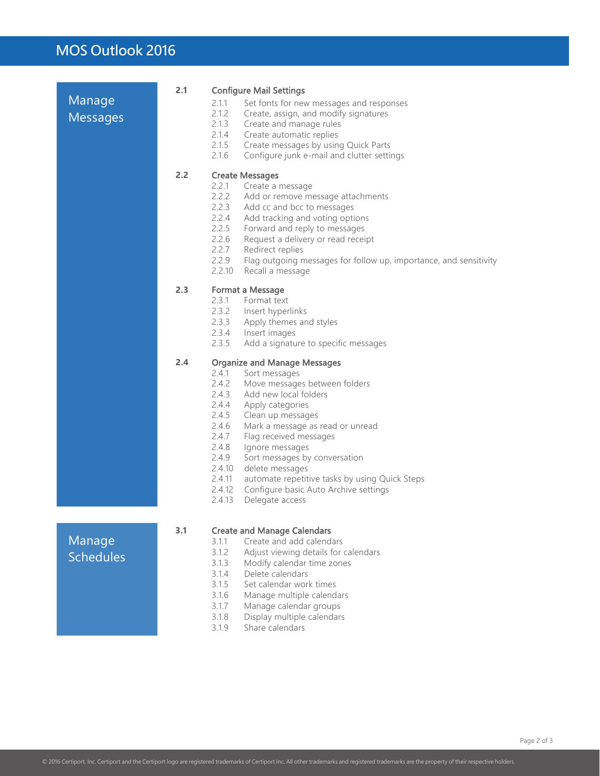## MOS Outlook 2016

| Manage<br><b>Messages</b>  | 2.1 | <b>Configure Mail Settings</b><br>2.1.1<br>Set fonts for new messages and responses<br>2.1.2<br>Create, assign, and modify signatures<br>2.1.3<br>Create and manage rules<br>2.1.4<br>Create automatic replies<br>2.1.5<br>Create messages by using Quick Parts<br>2.1.6<br>Configure junk e-mail and clutter settings                                                                                                                                                                                                              |
|----------------------------|-----|-------------------------------------------------------------------------------------------------------------------------------------------------------------------------------------------------------------------------------------------------------------------------------------------------------------------------------------------------------------------------------------------------------------------------------------------------------------------------------------------------------------------------------------|
|                            | 2.2 | <b>Create Messages</b><br>2.2.1<br>Create a message<br>2.2.2<br>Add or remove message attachments<br>2.2.3<br>Add cc and bcc to messages<br>2.2.4<br>Add tracking and voting options<br>2.2.5<br>Forward and reply to messages<br>2.2.6<br>Request a delivery or read receipt<br>2.2.7<br>Redirect replies<br>2.2.9<br>Flag outgoing messages for follow up, importance, and sensitivity<br>2.2.10<br>Recall a message                                                                                                              |
|                            | 2.3 | Format a Message<br>2.3.1<br>Format text<br>2.3.2 Insert hyperlinks<br>2.3.3<br>Apply themes and styles<br>2.3.4<br>Insert images<br>2.3.5<br>Add a signature to specific messages                                                                                                                                                                                                                                                                                                                                                  |
|                            | 2.4 | <b>Organize and Manage Messages</b><br>2.4.1<br>Sort messages<br>2.4.2<br>Move messages between folders<br>2.4.3<br>Add new local folders<br>2.4.4<br>Apply categories<br>2.4.5<br>Clean up messages<br>2.4.6<br>Mark a message as read or unread<br>2.4.7<br>Flag received messages<br>2.4.8<br>Ignore messages<br>2.4.9<br>Sort messages by conversation<br>2.4.10<br>delete messages<br>2.4.11<br>automate repetitive tasks by using Quick Steps<br>2.4.12<br>Configure basic Auto Archive settings<br>2.4.13<br>Delegate access |
| Manage<br><b>Schedules</b> | 3.1 | <b>Create and Manage Calendars</b><br>3.1.1<br>Create and add calendars<br>3.1.2<br>Adjust viewing details for calendars<br>3.1.3<br>Modify calendar time zones<br>3.1.4<br>Delete calendars<br>3.1.5<br>Set calendar work times<br>3.1.6<br>Manage multiple calendars<br>3.1.7<br>Manage calendar groups<br>3.1.8<br>Display multiple calendars<br>Share calendars<br>3.1.9                                                                                                                                                        |